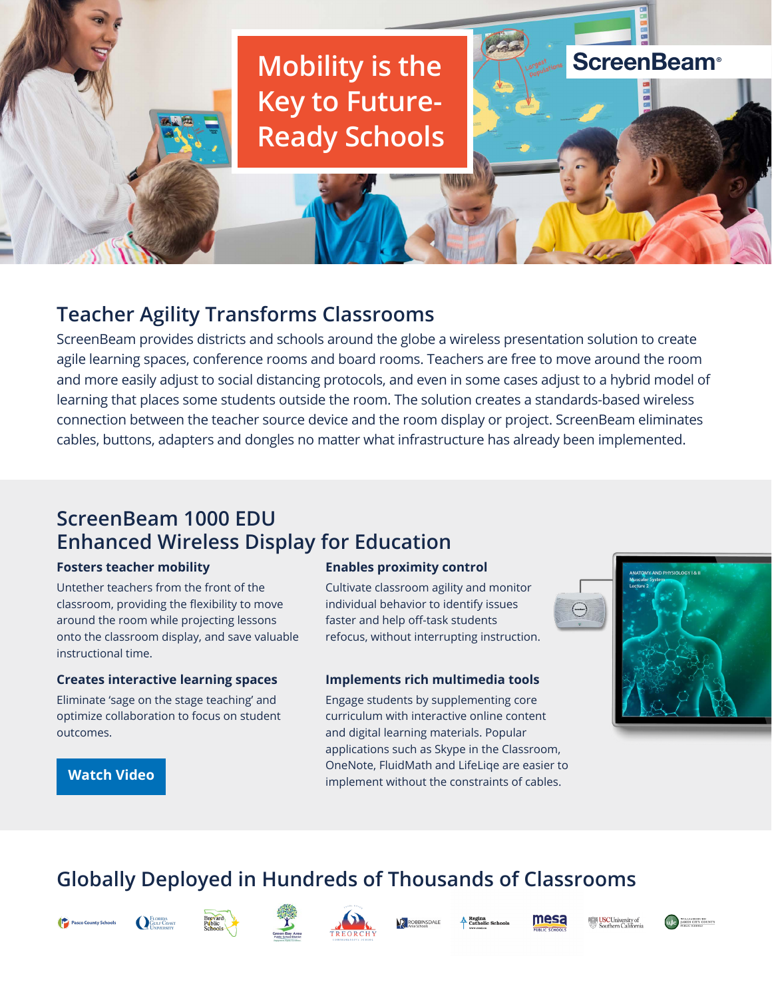# **Mobility is the Key to Future-Ready Schools**

# **Teacher Agility Transforms Classrooms**

ScreenBeam provides districts and schools around the globe a wireless presentation solution to create agile learning spaces, conference rooms and board rooms. Teachers are free to move around the room and more easily adjust to social distancing protocols, and even in some cases adjust to a hybrid model of learning that places some students outside the room. The solution creates a standards-based wireless connection between the teacher source device and the room display or project. ScreenBeam eliminates cables, buttons, adapters and dongles no matter what infrastructure has already been implemented.

## **ScreenBeam 1000 EDU Enhanced Wireless Display for Education**

#### **Fosters teacher mobility**

Untether teachers from the front of the classroom, providing the flexibility to move around the room while projecting lessons onto the classroom display, and save valuable instructional time.

#### **Creates interactive learning spaces**

Eliminate 'sage on the stage teaching' and optimize collaboration to focus on student outcomes.

#### **Enables proximity control**

Cultivate classroom agility and monitor individual behavior to identify issues faster and help off-task students refocus, without interrupting instruction.

#### **Implements rich multimedia tools**

Engage students by supplementing core curriculum with interactive online content and digital learning materials. Popular applications such as Skype in the Classroom, OneNote, FluidMath and LifeLiqe are easier to implement without the constraints of cables.



**ScreenBeam®** 



# **Globally Deployed in Hundreds of Thousands of Classrooms**



**[Watch Video](https://youtu.be/RH_WB0vHt6w)**